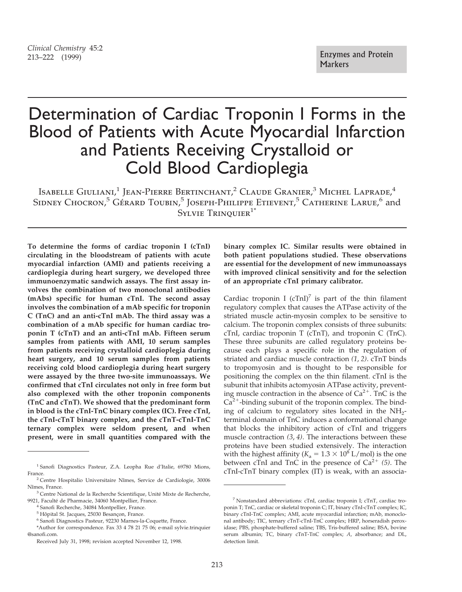# *Clinical Chemistry* 45:2 Enzymes and Protein<br>213–222 (1999)

# Determination of Cardiac Troponin I Forms in the Blood of Patients with Acute Myocardial Infarction and Patients Receiving Crystalloid or Cold Blood Cardioplegia

ISABELLE GIULIANI,<sup>1</sup> JEAN-PIERRE BERTINCHANT,<sup>2</sup> CLAUDE GRANIER,<sup>3</sup> MICHEL LAPRADE,<sup>4</sup> SIDNEY CHOCRON,<sup>5</sup> GÉRARD TOUBIN,<sup>5</sup> JOSEPH-PHILIPPE ETIEVENT,<sup>5</sup> CATHERINE LARUE,<sup>6</sup> and SYLVIE TRINQUIER<sup>1\*</sup>

**To determine the forms of cardiac troponin I (cTnI) circulating in the bloodstream of patients with acute myocardial infarction (AMI) and patients receiving a cardioplegia during heart surgery, we developed three immunoenzymatic sandwich assays. The first assay involves the combination of two monoclonal antibodies (mAbs) specific for human cTnI. The second assay involves the combination of a mAb specific for troponin C (TnC) and an anti-cTnI mAb. The third assay was a combination of a mAb specific for human cardiac troponin T (cTnT) and an anti-cTnI mAb. Fifteen serum samples from patients with AMI, 10 serum samples from patients receiving crystalloid cardioplegia during heart surgery, and 10 serum samples from patients receiving cold blood cardioplegia during heart surgery were assayed by the three two-site immunoassays. We confirmed that cTnI circulates not only in free form but also complexed with the other troponin components (TnC and cTnT). We showed that the predominant form in blood is the cTnI-TnC binary complex (IC). Free cTnI, the cTnI-cTnT binary complex, and the cTnT-cTnI-TnC ternary complex were seldom present, and when present, were in small quantities compared with the**

<sup>4</sup> Sanofi Recherche, 34084 Montpellier, France.

**binary complex IC. Similar results were obtained in both patient populations studied. These observations are essential for the development of new immunoassays with improved clinical sensitivity and for the selection of an appropriate cTnI primary calibrator.**

Cardiac troponin I  $(cTnI)^7$  is part of the thin filament regulatory complex that causes the ATPase activity of the striated muscle actin-myosin complex to be sensitive to calcium. The troponin complex consists of three subunits: cTnI, cardiac troponin T (cTnT), and troponin C (TnC). These three subunits are called regulatory proteins because each plays a specific role in the regulation of striated and cardiac muscle contraction *(1*, *2)*. cTnT binds to tropomyosin and is thought to be responsible for positioning the complex on the thin filament. cTnI is the subunit that inhibits actomyosin ATPase activity, preventing muscle contraction in the absence of  $Ca<sup>2+</sup>$ . TnC is the  $Ca<sup>2+</sup>$ -binding subunit of the troponin complex. The binding of calcium to regulatory sites located in the  $NH<sub>2</sub>$ terminal domain of TnC induces a conformational change that blocks the inhibitory action of cTnI and triggers muscle contraction *(3*, *4)*. The interactions between these proteins have been studied extensively. The interaction with the highest affinity ( $K_a = 1.3 \times 10^8$  L/mol) is the one between cTnI and TnC in the presence of  $Ca^{2+}$  (5). The cTnI-cTnT binary complex (IT) is weak, with an associa-

<sup>1</sup> Sanofi Diagnostics Pasteur, Z.A. Leopha Rue d'Italie, 69780 Mions, France.

<sup>&</sup>lt;sup>2</sup> Centre Hospitalio Universitaire Nîmes, Service de Cardiologie, 30006 Nîmes, France.

<sup>&</sup>lt;sup>3</sup> Centre National de la Recherche Scientifique, Unité Mixte de Recherche, 9921, Faculté de Pharmacie, 34060 Montpellier, France.

<sup>&</sup>lt;sup>5</sup> Hôpital St. Jacques, 25030 Besançon, France.

<sup>6</sup> Sanofi Diagnostics Pasteur, 92230 Marnes-la-Coquette, France.

<sup>\*</sup>Author for correspondence. Fax 33 4 78 21 75 06; e-mail sylvie.trinquier @sanofi.com.

Received July 31, 1998; revision accepted November 12, 1998.

<sup>7</sup> Nonstandard abbreviations: cTnI, cardiac troponin I; cTnT, cardiac troponin T; TnC, cardiac or skeletal troponin C; IT, binary cTnI-cTnT complex; IC, binary cTnI-TnC complex; AMI, acute myocardial infarction; mAb, monoclonal antibody; TIC, ternary cTnT-cTnI-TnC complex; HRP, horseradish peroxidase; PBS, phosphate-buffered saline; TBS, Tris-buffered saline; BSA, bovine serum albumin; TC, binary cTnT-TnC complex; *A*, absorbance; and DL, detection limit.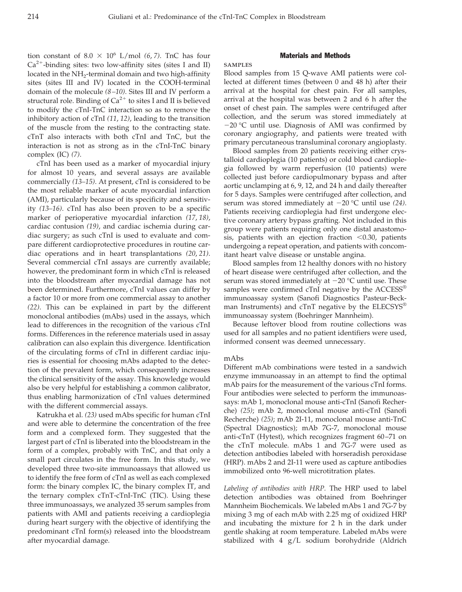tion constant of  $8.0 \times 10^6$  L/mol *(6, 7)*. TnC has four  $Ca<sup>2+</sup>$ -binding sites: two low-affinity sites (sites I and II) located in the  $NH<sub>2</sub>$ -terminal domain and two high-affinity sites (sites III and IV) located in the COOH-terminal domain of the molecule *(8–10)*. Sites III and IV perform a structural role. Binding of  $Ca^{2+}$  to sites I and II is believed to modify the cTnI-TnC interaction so as to remove the inhibitory action of cTnI *(11*, *12)*, leading to the transition of the muscle from the resting to the contracting state. cTnT also interacts with both cTnI and TnC, but the interaction is not as strong as in the cTnI-TnC binary complex (IC) *(7)*.

cTnI has been used as a marker of myocardial injury for almost 10 years, and several assays are available commercially *(13–15)*. At present, cTnI is considered to be the most reliable marker of acute myocardial infarction (AMI), particularly because of its specificity and sensitivity *(13–16)*. cTnI has also been proven to be a specific marker of perioperative myocardial infarction *(17*, *18)*, cardiac contusion *(19)*, and cardiac ischemia during cardiac surgery; as such cTnI is used to evaluate and compare different cardioprotective procedures in routine cardiac operations and in heart transplantations *(20*, *21)*. Several commercial cTnI assays are currently available; however, the predominant form in which cTnI is released into the bloodstream after myocardial damage has not been determined. Furthermore, cTnI values can differ by a factor 10 or more from one commercial assay to another *(22)*. This can be explained in part by the different monoclonal antibodies (mAbs) used in the assays, which lead to differences in the recognition of the various cTnI forms. Differences in the reference materials used in assay calibration can also explain this divergence. Identification of the circulating forms of cTnI in different cardiac injuries is essential for choosing mAbs adapted to the detection of the prevalent form, which consequently increases the clinical sensitivity of the assay. This knowledge would also be very helpful for establishing a common calibrator, thus enabling harmonization of cTnI values determined with the different commercial assays.

Katrukha et al. *(23)* used mAbs specific for human cTnI and were able to determine the concentration of the free form and a complexed form. They suggested that the largest part of cTnI is liberated into the bloodstream in the form of a complex, probably with TnC, and that only a small part circulates in the free form. In this study, we developed three two-site immunoassays that allowed us to identify the free form of cTnI as well as each complexed form: the binary complex IC, the binary complex IT, and the ternary complex cTnT-cTnI-TnC (TIC). Using these three immunoassays, we analyzed 35 serum samples from patients with AMI and patients receiving a cardioplegia during heart surgery with the objective of identifying the predominant cTnI form(s) released into the bloodstream after myocardial damage.

## Materials and Methods

# **SAMPLES**

Blood samples from 15 Q-wave AMI patients were collected at different times (between 0 and 48 h) after their arrival at the hospital for chest pain. For all samples, arrival at the hospital was between 2 and 6 h after the onset of chest pain. The samples were centrifuged after collection, and the serum was stored immediately at  $-20$  °C until use. Diagnosis of AMI was confirmed by coronary angiography, and patients were treated with primary percutaneous transluminal coronary angioplasty.

Blood samples from 20 patients receiving either crystalloid cardioplegia (10 patients) or cold blood cardioplegia followed by warm reperfusion (10 patients) were collected just before cardiopulmonary bypass and after aortic unclamping at 6, 9, 12, and 24 h and daily thereafter for 5 days. Samples were centrifuged after collection, and serum was stored immediately at  $-20$  °C until use (24). Patients receiving cardioplegia had first undergone elective coronary artery bypass grafting. Not included in this group were patients requiring only one distal anastomosis, patients with an ejection fraction  $< 0.30$ , patients undergoing a repeat operation, and patients with concomitant heart valve disease or unstable angina.

Blood samples from 12 healthy donors with no history of heart disease were centrifuged after collection, and the serum was stored immediately at  $-20$  °C until use. These samples were confirmed cTnI negative by the  $ACCES^{\circledcirc}$ immunoassay system (Sanofi Diagnostics Pasteur-Beckman Instruments) and cTnT negative by the ELECSYS® immunoassay system (Boehringer Mannheim).

Because leftover blood from routine collections was used for all samples and no patient identifiers were used, informed consent was deemed unnecessary.

### mAbs

Different mAb combinations were tested in a sandwich enzyme immunoassay in an attempt to find the optimal mAb pairs for the measurement of the various cTnI forms. Four antibodies were selected to perform the immunoassays: mAb 1, monoclonal mouse anti-cTnI (Sanofi Recherche) *(25)*; mAb 2, monoclonal mouse anti-cTnI (Sanofi Recherche) *(25)*; mAb 2I-11, monoclonal mouse anti-TnC (Spectral Diagnostics); mAb 7G-7, monoclonal mouse anti-cTnT (Hytest), which recognizes fragment 60–71 on the cTnT molecule. mAbs 1 and 7G-7 were used as detection antibodies labeled with horseradish peroxidase (HRP). mAbs 2 and 2I-11 were used as capture antibodies immobilized onto 96-well microtitration plates.

*Labeling of antibodies with HRP.* The HRP used to label detection antibodies was obtained from Boehringer Mannheim Biochemicals. We labeled mAbs 1 and 7G-7 by mixing 3 mg of each mAb with 2.25 mg of oxidized HRP and incubating the mixture for 2 h in the dark under gentle shaking at room temperature. Labeled mAbs were stabilized with 4 g/L sodium borohydride (Aldrich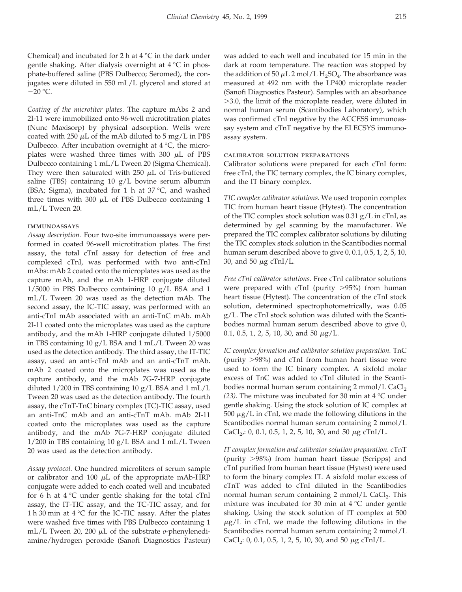Chemical) and incubated for 2 h at  $4^{\circ}$ C in the dark under gentle shaking. After dialysis overnight at 4 °C in phosphate-buffered saline (PBS Dulbecco; Seromed), the conjugates were diluted in 550 mL/L glycerol and stored at  $-20$  °C.

*Coating of the microtiter plates.* The capture mAbs 2 and 2I-11 were immobilized onto 96-well microtitration plates (Nunc Maxisorp) by physical adsorption. Wells were coated with 250  $\mu$ L of the mAb diluted to 5 mg/L in PBS Dulbecco. After incubation overnight at 4 °C, the microplates were washed three times with  $300 \mu L$  of PBS Dulbecco containing 1 mL/L Tween 20 (Sigma Chemical). They were then saturated with  $250 \mu L$  of Tris-buffered saline (TBS) containing 10 g/L bovine serum albumin (BSA; Sigma), incubated for 1 h at 37 °C, and washed three times with 300  $\mu$ L of PBS Dulbecco containing 1 mL/L Tween 20.

#### immunoassays

*Assay description.* Four two-site immunoassays were performed in coated 96-well microtitration plates. The first assay, the total cTnI assay for detection of free and complexed cTnI, was performed with two anti-cTnI mAbs: mAb 2 coated onto the microplates was used as the capture mAb, and the mAb 1-HRP conjugate diluted 1/5000 in PBS Dulbecco containing 10 g/L BSA and 1 mL/L Tween 20 was used as the detection mAb. The second assay, the IC-TIC assay*,* was performed with an anti-cTnI mAb associated with an anti-TnC mAb. mAb 2I-11 coated onto the microplates was used as the capture antibody, and the mAb 1-HRP conjugate diluted 1/5000 in TBS containing 10 g/L BSA and 1 mL/L Tween 20 was used as the detection antibody. The third assay, the IT-TIC assay*,* used an anti-cTnI mAb and an anti-cTnT mAb. mAb 2 coated onto the microplates was used as the capture antibody, and the mAb 7G-7-HRP conjugate diluted  $1/200$  in TBS containing 10 g/L BSA and 1 mL/L Tween 20 was used as the detection antibody. The fourth assay, the cTnT-TnC binary complex (TC)-TIC assay, used an anti-TnC mAb and an anti-cTnT mAb. mAb 2I-11 coated onto the microplates was used as the capture antibody, and the mAb 7G-7-HRP conjugate diluted 1/200 in TBS containing 10 g/L BSA and 1 mL/L Tween 20 was used as the detection antibody.

*Assay protocol.* One hundred microliters of serum sample or calibrator and 100  $\mu$ L of the appropriate mAb-HRP conjugate were added to each coated well and incubated for 6 h at  $4^{\circ}$ C under gentle shaking for the total cTnI assay, the IT-TIC assay, and the TC-TIC assay, and for 1 h 30 min at 4 °C for the IC-TIC assay. After the plates were washed five times with PBS Dulbecco containing 1 mL/L Tween 20, 200  $\mu$ L of the substrate *o*-phenylenediamine/hydrogen peroxide (Sanofi Diagnostics Pasteur) was added to each well and incubated for 15 min in the dark at room temperature. The reaction was stopped by the addition of 50  $\mu$ L 2 mol/L H<sub>2</sub>SO<sub>4</sub>. The absorbance was measured at 492 nm with the LP400 microplate reader (Sanofi Diagnostics Pasteur). Samples with an absorbance .3.0, the limit of the microplate reader, were diluted in normal human serum (Scantibodies Laboratory), which was confirmed cTnI negative by the ACCESS immunoassay system and cTnT negative by the ELECSYS immunoassay system.

#### calibrator solution preparations

Calibrator solutions were prepared for each cTnI form: free cTnI, the TIC ternary complex, the IC binary complex, and the IT binary complex.

*TIC complex calibrator solutions.* We used troponin complex TIC from human heart tissue (Hytest). The concentration of the TIC complex stock solution was 0.31 g/L in cTnI, as determined by gel scanning by the manufacturer. We prepared the TIC complex calibrator solutions by diluting the TIC complex stock solution in the Scantibodies normal human serum described above to give 0, 0.1, 0.5, 1, 2, 5, 10, 30, and 50  $\mu$ g cTnI/L.

*Free cTnI calibrator solutions.* Free cTnI calibrator solutions were prepared with cTnI (purity  $>95\%$ ) from human heart tissue (Hytest). The concentration of the cTnI stock solution, determined spectrophotometrically, was 0.05 g/L. The cTnI stock solution was diluted with the Scantibodies normal human serum described above to give 0, 0.1, 0.5, 1, 2, 5, 10, 30, and 50  $\mu$ g/L.

*IC complex formation and calibrator solution preparation.* TnC (purity  $>98\%$ ) and cTnI from human heart tissue were used to form the IC binary complex. A sixfold molar excess of TnC was added to cTnI diluted in the Scantibodies normal human serum containing  $2$  mmol/L CaCl<sub>2</sub> *(23)*. The mixture was incubated for 30 min at 4 °C under gentle shaking. Using the stock solution of IC complex at 500  $\mu$ g/L in cTnI, we made the following dilutions in the Scantibodies normal human serum containing 2 mmol/L CaCl<sub>2</sub>,: 0, 0.1, 0.5, 1, 2, 5, 10, 30, and 50  $\mu$ g cTnI/L.

*IT complex formation and calibrator solution preparation.* cTnT (purity >98%) from human heart tissue (Scripps) and cTnI purified from human heart tissue (Hytest) were used to form the binary complex IT. A sixfold molar excess of cTnT was added to cTnI diluted in the Scantibodies normal human serum containing  $2 \text{ mmol/L }$  CaCl<sub>2</sub>. This mixture was incubated for 30 min at 4 °C under gentle shaking. Using the stock solution of IT complex at 500  $\mu$ g/L in cTnI, we made the following dilutions in the Scantibodies normal human serum containing 2 mmol/L CaCl<sub>2</sub>: 0, 0.1, 0.5, 1, 2, 5, 10, 30, and 50  $\mu$ g cTnI/L.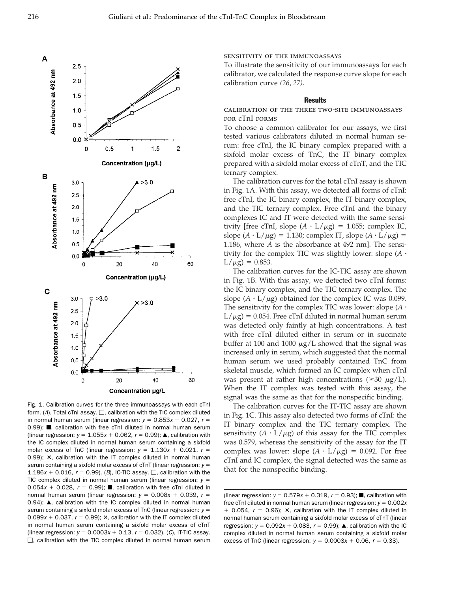

Fig. 1. Calibration curves for the three immunoassays with each cTnI form. (A), Total cTnI assay.  $\Box$ , calibration with the TIC complex diluted in normal human serum (linear regression:  $y = 0.853x + 0.027$ ,  $r =$  $0.99$ );  $\blacksquare$ , calibration with free cTnI diluted in normal human serum (linear regression:  $y = 1.055x + 0.062$ ,  $r = 0.99$ ); A, calibration with the IC complex diluted in normal human serum containing a sixfold molar excess of TnC (linear regression:  $y = 1.130x + 0.021$ ,  $r =$ 0.99); X, calibration with the IT complex diluted in normal human serum containing a sixfold molar excess of  $cTnT$  (linear regression:  $y =$ 1.186x + 0.016,  $r = 0.99$ ). (B), IC-TIC assay.  $\Box$ , calibration with the TIC complex diluted in normal human serum (linear regression:  $y =$  $0.054x + 0.028$ ,  $r = 0.99$ ;  $\blacksquare$ , calibration with free cTnI diluted in normal human serum (linear regression:  $y = 0.008x + 0.039$ ,  $r =$ 0.94);  $\triangle$ , calibration with the IC complex diluted in normal human serum containing a sixfold molar excess of TnC (linear regression:  $y =$  $0.099x + 0.037$ ,  $r = 0.99$ ; X, calibration with the IT complex diluted in normal human serum containing a sixfold molar excess of cTnT (linear regression:  $y = 0.0003x + 0.13$ ,  $r = 0.032$ ). (C), IT-TIC assay.  $\square$ , calibration with the TIC complex diluted in normal human serum

sensitivity of the immunoassays

To illustrate the sensitivity of our immunoassays for each calibrator, we calculated the response curve slope for each calibration curve *(26*, *27)*.

#### **Results**

## calibration of the three two-site immunoassays for cTnI forms

To choose a common calibrator for our assays, we first tested various calibrators diluted in normal human serum: free cTnI, the IC binary complex prepared with a sixfold molar excess of TnC, the IT binary complex prepared with a sixfold molar excess of cTnT, and the TIC ternary complex.

The calibration curves for the total cTnI assay is shown in Fig. 1A. With this assay, we detected all forms of cTnI: free cTnI, the IC binary complex, the IT binary complex, and the TIC ternary complex. Free cTnI and the binary complexes IC and IT were detected with the same sensitivity [free cTnI, slope  $(A \cdot L/\mu g) = 1.055$ ; complex IC, slope  $(A \cdot L/\mu g) = 1.130$ ; complex IT, slope  $(A \cdot L/\mu g) =$ 1.186, where *A* is the absorbance at 492 nm]. The sensitivity for the complex TIC was slightly lower: slope  $(A \cdot$  $L/\mu$ g) = 0.853.

The calibration curves for the IC-TIC assay are shown in Fig. 1B. With this assay, we detected two cTnI forms: the IC binary complex, and the TIC ternary complex. The slope  $(A \cdot L/\mu g)$  obtained for the complex IC was 0.099. The sensitivity for the complex TIC was lower: slope  $(A \cdot$  $L/\mu$ g) = 0.054. Free cTnI diluted in normal human serum was detected only faintly at high concentrations. A test with free cTnI diluted either in serum or in succinate buffer at 100 and 1000  $\mu$ g/L showed that the signal was increased only in serum, which suggested that the normal human serum we used probably contained TnC from skeletal muscle, which formed an IC complex when cTnI was present at rather high concentrations ( $\geq 30 \mu g/L$ ). When the IT complex was tested with this assay, the signal was the same as that for the nonspecific binding.

The calibration curves for the IT-TIC assay are shown in Fig. 1C. This assay also detected two forms of cTnI: the IT binary complex and the TIC ternary complex. The sensitivity  $(A \cdot L/\mu g)$  of this assay for the TIC complex was 0.579, whereas the sensitivity of the assay for the IT complex was lower: slope  $(A \cdot L/\mu g) = 0.092$ . For free cTnI and IC complex, the signal detected was the same as that for the nonspecific binding.

<sup>(</sup>linear regression:  $y = 0.579x + 0.319$ ,  $r = 0.93$ );  $\blacksquare$ , calibration with free cTnI diluted in normal human serum (linear regression:  $y = 0.002x$  $+$  0.054,  $r = 0.96$ ); X, calibration with the IT complex diluted in normal human serum containing a sixfold molar excess of cTnT (linear regression:  $y = 0.092x + 0.083$ ,  $r = 0.99$ ); A, calibration with the IC complex diluted in normal human serum containing a sixfold molar excess of TnC (linear regression:  $y = 0.0003x + 0.06$ ,  $r = 0.33$ ).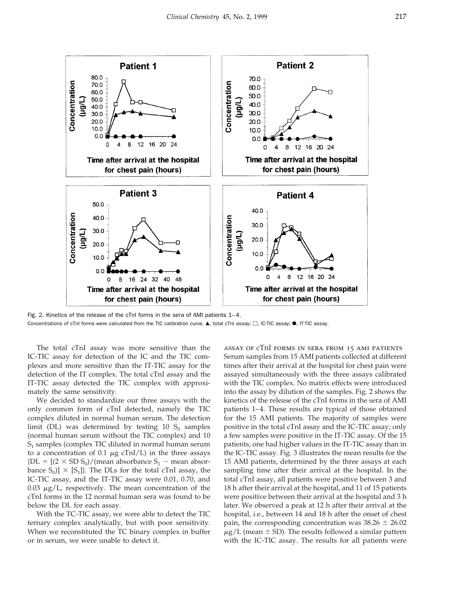

Fig. 2. Kinetics of the release of the cTnI forms in the sera of AMI patients 1–4. Concentrations of cTnI forms were calculated from the TIC calibration curve. A, total cTnI assay;  $\Box$ , IC-TIC assay;  $\bullet$ , IT-TIC assay.

The total cTnI assay was more sensitive than the IC-TIC assay for detection of the IC and the TIC complexes and more sensitive than the IT-TIC assay for the detection of the IT complex. The total cTnI assay and the IT-TIC assay detected the TIC complex with approximately the same sensitivity.

We decided to standardize our three assays with the only common form of cTnI detected, namely the TIC complex diluted in normal human serum. The detection limit (DL) was determined by testing 10  $S_0$  samples (normal human serum without the TIC complex) and 10  $S_1$  samples (complex TIC diluted in normal human serum to a concentration of 0.1  $\mu$ g cTnI/L) in the three assays  ${DL = [(2 \times SD S_0)/(mean absence S_1 - mean absor-1)]}$ bance  $S_0$ ]  $\times$  [S<sub>1</sub>]}. The DLs for the total cTnI assay, the IC-TIC assay, and the IT-TIC assay were 0.01, 0.70, and  $0.03 \mu g/L$ , respectively. The mean concentration of the cTnI forms in the 12 normal human sera was found to be below the DL for each assay.

With the TC-TIC assay, we were able to detect the TIC ternary complex analytically, but with poor sensitivity. When we reconstituted the TC binary complex in buffer or in serum, we were unable to detect it.

assay of cTnI forms in sera from 15 ami patients Serum samples from 15 AMI patients collected at different times after their arrival at the hospital for chest pain were assayed simultaneously with the three assays calibrated with the TIC complex. No matrix effects were introduced into the assay by dilution of the samples. Fig. 2 shows the kinetics of the release of the cTnI forms in the sera of AMI patients 1–4. These results are typical of those obtained for the 15 AMI patients. The majority of samples were positive in the total cTnI assay and the IC-TIC assay; only a few samples were positive in the IT-TIC assay. Of the 15 patients, one had higher values in the IT-TIC assay than in the IC-TIC assay. Fig. 3 illustrates the mean results for the 15 AMI patients, determined by the three assays at each sampling time after their arrival at the hospital. In the total cTnI assay, all patients were positive between 3 and 18 h after their arrival at the hospital, and 11 of 15 patients were positive between their arrival at the hospital and 3 h later. We observed a peak at 12 h after their arrival at the hospital, i.e., between 14 and 18 h after the onset of chest pain, the corresponding concentration was  $38.26 \pm 26.02$  $\mu$ g/L (mean  $\pm$  SD). The results followed a similar pattern with the IC-TIC assay. The results for all patients were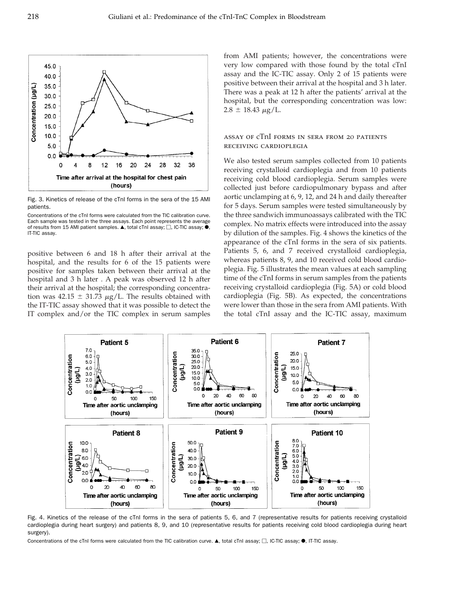

Fig. 3. Kinetics of release of the cTnI forms in the sera of the 15 AMI patients.

positive between 6 and 18 h after their arrival at the hospital, and the results for 6 of the 15 patients were positive for samples taken between their arrival at the hospital and 3 h later . A peak was observed 12 h after their arrival at the hospital; the corresponding concentration was  $42.15 \pm 31.73 \mu g/L$ . The results obtained with the IT-TIC assay showed that it was possible to detect the IT complex and/or the TIC complex in serum samples

from AMI patients; however, the concentrations were very low compared with those found by the total cTnI assay and the IC-TIC assay. Only 2 of 15 patients were positive between their arrival at the hospital and 3 h later. There was a peak at 12 h after the patients' arrival at the hospital, but the corresponding concentration was low:  $2.8 \pm 18.43 \ \mu g/L$ .

## assay of cTnI forms in sera from 20 patients receiving cardioplegia

We also tested serum samples collected from 10 patients receiving crystalloid cardioplegia and from 10 patients receiving cold blood cardioplegia. Serum samples were collected just before cardiopulmonary bypass and after aortic unclamping at 6, 9, 12, and 24 h and daily thereafter for 5 days. Serum samples were tested simultaneously by the three sandwich immunoassays calibrated with the TIC complex. No matrix effects were introduced into the assay by dilution of the samples. Fig. 4 shows the kinetics of the appearance of the cTnI forms in the sera of six patients. Patients 5, 6, and 7 received crystalloid cardioplegia, whereas patients 8, 9, and 10 received cold blood cardioplegia. Fig. 5 illustrates the mean values at each sampling time of the cTnI forms in serum samples from the patients receiving crystalloid cardioplegia (Fig. 5A) or cold blood cardioplegia (Fig. 5B). As expected, the concentrations were lower than those in the sera from AMI patients. With the total cTnI assay and the IC-TIC assay, maximum



Fig. 4. Kinetics of the release of the cTnI forms in the sera of patients 5, 6, and 7 (representative results for patients receiving crystalloid cardioplegia during heart surgery) and patients 8, 9, and 10 (representative results for patients receiving cold blood cardioplegia during heart surgery).

Concentrations of the cTnI forms were calculated from the TIC calibration curve. A, total cTnI assay;  $\Box$ , IC-TIC assay;  $\bullet$ , IT-TIC assay.

Concentrations of the cTnI forms were calculated from the TIC calibration curve. Each sample was tested in the three assays. Each point represents the average of results from 15 AMI patient samples.  $\blacktriangle$ , total cTnI assay;  $\Box$ , IC-TIC assay;  $\ddot{\blacktriangle}$ , IT-TIC assay.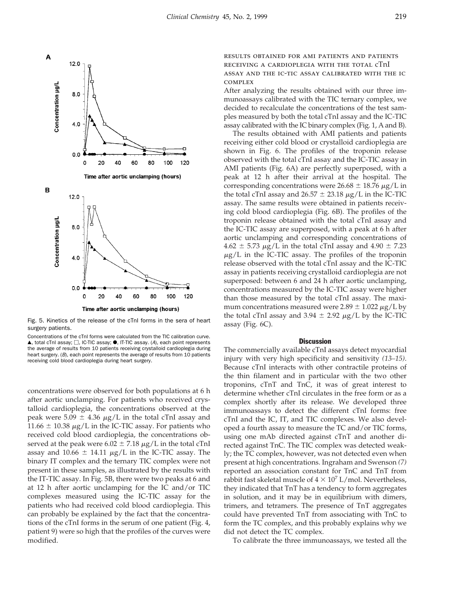

Fig. 5. Kinetics of the release of the cTnI forms in the sera of heart surgery patients.

Concentrations of the cTnI forms were calculated from the TIC calibration curve.  $\blacktriangle$ , total cTnI assay;  $\square$ , IC-TIC assay;  $\blacklozenge$ , IT-TIC assay. (A), each point represents the average of results from 10 patients receiving crystalloid cardioplegia during heart surgery. (B), each point represents the average of results from 10 patients receiving cold blood cardioplegia during heart surgery.

concentrations were observed for both populations at 6 h after aortic unclamping. For patients who received crystalloid cardioplegia, the concentrations observed at the peak were 5.09  $\pm$  4.36  $\mu$ g/L in the total cTnI assay and 11.66  $\pm$  10.38  $\mu$ g/L in the IC-TIC assay. For patients who received cold blood cardioplegia, the concentrations observed at the peak were 6.02  $\pm$  7.18  $\mu$ g/L in the total cTnI assay and 10.66  $\pm$  14.11  $\mu$ g/L in the IC-TIC assay. The binary IT complex and the ternary TIC complex were not present in these samples, as illustrated by the results with the IT-TIC assay. In Fig. 5B, there were two peaks at 6 and at 12 h after aortic unclamping for the IC and/or TIC complexes measured using the IC-TIC assay for the patients who had received cold blood cardioplegia. This can probably be explained by the fact that the concentrations of the cTnI forms in the serum of one patient (Fig. 4, patient 9) were so high that the profiles of the curves were modified.

results obtained for ami patients and patients receiving a cardioplegia with the total cTnI assay and the ic-tic assay calibrated with the ic COMPLEY

After analyzing the results obtained with our three immunoassays calibrated with the TIC ternary complex, we decided to recalculate the concentrations of the test samples measured by both the total cTnI assay and the IC-TIC assay calibrated with the IC binary complex (Fig. 1, A and B).

The results obtained with AMI patients and patients receiving either cold blood or crystalloid cardioplegia are shown in Fig. 6. The profiles of the troponin release observed with the total cTnI assay and the IC-TIC assay in AMI patients (Fig. 6A) are perfectly superposed, with a peak at 12 h after their arrival at the hospital. The corresponding concentrations were  $26.68 \pm 18.76 \,\mu g/L$  in the total cTnI assay and  $26.57 \pm 23.18 \mu g/L$  in the IC-TIC assay. The same results were obtained in patients receiving cold blood cardioplegia (Fig. 6B). The profiles of the troponin release obtained with the total cTnI assay and the IC-TIC assay are superposed, with a peak at 6 h after aortic unclamping and corresponding concentrations of  $4.62 \pm 5.73 \mu g/L$  in the total cTnI assay and  $4.90 \pm 7.23$  $\mu$ g/L in the IC-TIC assay. The profiles of the troponin release observed with the total cTnI assay and the IC-TIC assay in patients receiving crystalloid cardioplegia are not superposed: between 6 and 24 h after aortic unclamping, concentrations measured by the IC-TIC assay were higher than those measured by the total cTnI assay. The maximum concentrations measured were 2.89  $\pm$  1.022  $\mu$ g/L by the total cTnI assay and 3.94  $\pm$  2.92  $\mu$ g/L by the IC-TIC assay (Fig. 6C).

#### **Discussion**

The commercially available cTnI assays detect myocardial injury with very high specificity and sensitivity *(13–15)*. Because cTnI interacts with other contractile proteins of the thin filament and in particular with the two other troponins, cTnT and TnC, it was of great interest to determine whether cTnI circulates in the free form or as a complex shortly after its release. We developed three immunoassays to detect the different cTnI forms: free cTnI and the IC, IT, and TIC complexes. We also developed a fourth assay to measure the TC and/or TIC forms, using one mAb directed against cTnT and another directed against TnC. The TIC complex was detected weakly; the TC complex, however, was not detected even when present at high concentrations. Ingraham and Swenson *(7)* reported an association constant for TnC and TnT from rabbit fast skeletal muscle of  $4 \times 10^7$  L/mol. Nevertheless, they indicated that TnT has a tendency to form aggregates in solution, and it may be in equilibrium with dimers, trimers, and tetramers. The presence of TnT aggregates could have prevented TnT from associating with TnC to form the TC complex, and this probably explains why we did not detect the TC complex.

To calibrate the three immunoassays, we tested all the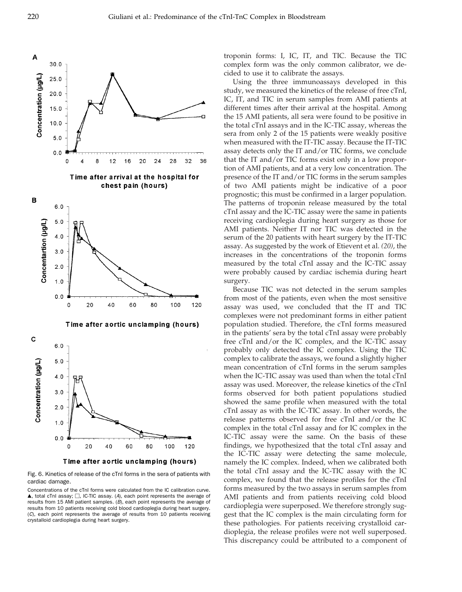

Fig. 6. Kinetics of release of the cTnI forms in the sera of patients with cardiac damage.

Concentrations of the cTnI forms were calculated from the IC calibration curve.  $\blacktriangle$ , total cTnI assay;  $\Box$ , IC-TIC assay. (A), each point represents the average of results from 15 AMI patient samples. (B), each point represents the average of results from 10 patients receiving cold blood cardioplegia during heart surgery. (C), each point represents the average of results from 10 patients receiving crystalloid cardioplegia during heart surgery.

troponin forms: I, IC, IT, and TIC. Because the TIC complex form was the only common calibrator, we decided to use it to calibrate the assays.

Using the three immunoassays developed in this study, we measured the kinetics of the release of free cTnI, IC, IT, and TIC in serum samples from AMI patients at different times after their arrival at the hospital. Among the 15 AMI patients, all sera were found to be positive in the total cTnI assays and in the IC-TIC assay, whereas the sera from only 2 of the 15 patients were weakly positive when measured with the IT-TIC assay. Because the IT-TIC assay detects only the IT and/or TIC forms, we conclude that the IT and/or TIC forms exist only in a low proportion of AMI patients, and at a very low concentration. The presence of the IT and/or TIC forms in the serum samples of two AMI patients might be indicative of a poor prognostic; this must be confirmed in a larger population. The patterns of troponin release measured by the total cTnI assay and the IC-TIC assay were the same in patients receiving cardioplegia during heart surgery as those for AMI patients. Neither IT nor TIC was detected in the serum of the 20 patients with heart surgery by the IT-TIC assay. As suggested by the work of Etievent et al. *(20)*, the increases in the concentrations of the troponin forms measured by the total cTnI assay and the IC-TIC assay were probably caused by cardiac ischemia during heart surgery.

Because TIC was not detected in the serum samples from most of the patients, even when the most sensitive assay was used, we concluded that the IT and TIC complexes were not predominant forms in either patient population studied. Therefore, the cTnI forms measured in the patients' sera by the total cTnI assay were probably free cTnI and/or the IC complex, and the IC-TIC assay probably only detected the IC complex. Using the TIC complex to calibrate the assays, we found a slightly higher mean concentration of cTnI forms in the serum samples when the IC-TIC assay was used than when the total cTnI assay was used. Moreover, the release kinetics of the cTnI forms observed for both patient populations studied showed the same profile when measured with the total cTnI assay as with the IC-TIC assay. In other words, the release patterns observed for free cTnI and/or the IC complex in the total cTnI assay and for IC complex in the IC-TIC assay were the same. On the basis of these findings, we hypothesized that the total cTnI assay and the IC-TIC assay were detecting the same molecule, namely the IC complex. Indeed, when we calibrated both the total cTnI assay and the IC-TIC assay with the IC complex, we found that the release profiles for the cTnI forms measured by the two assays in serum samples from AMI patients and from patients receiving cold blood cardioplegia were superposed. We therefore strongly suggest that the IC complex is the main circulating form for these pathologies. For patients receiving crystalloid cardioplegia, the release profiles were not well superposed. This discrepancy could be attributed to a component of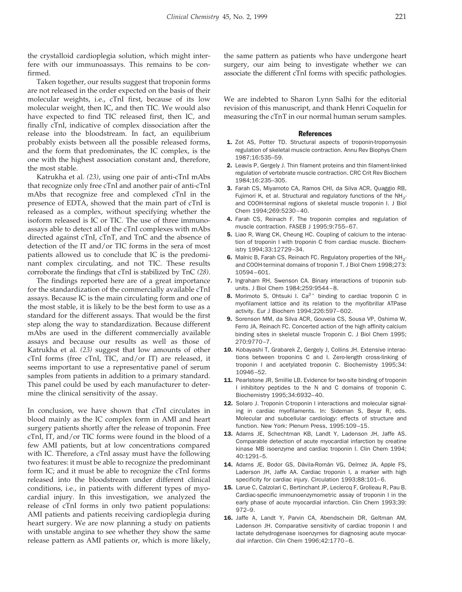the crystalloid cardioplegia solution, which might interfere with our immunoassays. This remains to be confirmed.

Taken together, our results suggest that troponin forms are not released in the order expected on the basis of their molecular weights, i.e., cTnI first, because of its low molecular weight, then IC, and then TIC. We would also have expected to find TIC released first, then IC, and finally cTnI, indicative of complex dissociation after the release into the bloodstream. In fact, an equilibrium probably exists between all the possible released forms, and the form that predominates, the IC complex, is the one with the highest association constant and, therefore, the most stable.

Katrukha et al. *(23)*, using one pair of anti-cTnI mAbs that recognize only free cTnI and another pair of anti-cTnI mAbs that recognize free and complexed cTnI in the presence of EDTA, showed that the main part of cTnI is released as a complex, without specifying whether the isoform released is IC or TIC. The use of three immunoassays able to detect all of the cTnI complexes with mAbs directed against cTnI, cTnT, and TnC and the absence of detection of the IT and/or TIC forms in the sera of most patients allowed us to conclude that IC is the predominant complex circulating, and not TIC. These results corroborate the findings that cTnI is stabilized by TnC *(28)*.

The findings reported here are of a great importance for the standardization of the commercially available cTnI assays. Because IC is the main circulating form and one of the most stable, it is likely to be the best form to use as a standard for the different assays. That would be the first step along the way to standardization. Because different mAbs are used in the different commercially available assays and because our results as well as those of Katrukha et al. *(23)* suggest that low amounts of other cTnI forms (free cTnI, TIC, and/or IT) are released, it seems important to use a representative panel of serum samples from patients in addition to a primary standard. This panel could be used by each manufacturer to determine the clinical sensitivity of the assay.

In conclusion, we have shown that cTnI circulates in blood mainly as the IC complex form in AMI and heart surgery patients shortly after the release of troponin. Free cTnI, IT, and/or TIC forms were found in the blood of a few AMI patients, but at low concentrations compared with IC. Therefore, a cTnI assay must have the following two features: it must be able to recognize the predominant form IC; and it must be able to recognize the cTnI forms released into the bloodstream under different clinical conditions, i.e., in patients with different types of myocardial injury. In this investigation, we analyzed the release of cTnI forms in only two patient populations: AMI patients and patients receiving cardioplegia during heart surgery. We are now planning a study on patients with unstable angina to see whether they show the same release pattern as AMI patients or, which is more likely,

the same pattern as patients who have undergone heart surgery, our aim being to investigate whether we can associate the different cTnI forms with specific pathologies.

We are indebted to Sharon Lynn Salhi for the editorial revision of this manuscript, and thank Henri Coquelin for measuring the cTnT in our normal human serum samples.

#### **References**

- 1. Zot AS, Potter TD. Structural aspects of troponin-tropomyosin regulation of skeletal muscle contraction. Annu Rev Biophys Chem 1987;16:535–59.
- 2. Leavis P, Gergely J. Thin filament proteins and thin filament-linked regulation of vertebrate muscle contraction. CRC Crit Rev Biochem 1984;16:235–305.
- 3. Farah CS, Miyamoto CA, Ramos CHI, da Silva ACR, Quaggio RB, Fujimori K, et al. Structural and regulatory functions of the  $NH<sub>2</sub>$ and COOH-terminal regions of skeletal muscle troponin I. J Biol Chem 1994;269:5230–40.
- 4. Farah CS, Reinach F. The troponin complex and regulation of muscle contraction. FASEB J 1995;9:755–67.
- 5. Liao R, Wang CK, Cheung HC. Coupling of calcium to the interaction of troponin I with troponin C from cardiac muscle. Biochemistry 1994;33:12729–34.
- 6. Malnic B, Farah CS, Reinach FC. Regulatory properties of the  $NH<sub>2</sub>$ and COOH-terminal domains of troponin T. J Biol Chem 1998;273: 10594–601.
- 7. Ingraham RH, Swenson CA. Binary interactions of troponin subunits. J Biol Chem 1984;259:9544–8.
- **8.** Morimoto S, Ohtsuki I.  $Ca^{2+}$  binding to cardiac troponin C in myofilament lattice and its relation to the myofibrillar ATPase activity. Eur J Biochem 1994;226:597–602.
- 9. Sorenson MM, da Silva ACR, Gouveia CS, Sousa VP, Oshima W, Ferro JA, Reinach FC. Concerted action of the high affinity calcium binding sites in skeletal muscle Troponin C. J Biol Chem 1995; 270:9770–7.
- 10. Kobayashi T, Grabarek Z, Gergely J, Collins JH. Extensive interactions between troponins C and I. Zero-length cross-linking of troponin I and acetylated troponin C. Biochemistry 1995;34: 10946–52.
- 11. Pearlstone JR, Smillie LB. Evidence for two-site binding of troponin I inhibitory peptides to the N and C domains of troponin C. Biochemistry 1995;34:6932–40.
- 12. Solaro J. Troponin C-troponin I interactions and molecular signaling in cardiac myofilaments. In: Sideman S, Beyar R, eds. Molecular and subcellular cardiology: effects of structure and function. New York: Plenum Press, 1995:109–15.
- 13. Adams JE, Schechtman KB, Landt Y, Ladenson JH, Jaffe AS. Comparable detection of acute myocardial infarction by creatine kinase MB isoenzyme and cardiac troponin I. Clin Chem 1994;  $40.1291 - 5$
- 14. Adams JE, Bodor GS, Dàvila-Román VG, Delmez JA, Apple FS, Laderson JH, Jaffe AA. Cardiac troponin I, a marker with high specificity for cardiac injury. Circulation 1993;88:101–6.
- 15. Larue C, Calzolari C, Bertinchant JP, Leclercq F, Grolleau R, Pau B. Cardiac-specific immunoenzymometric assay of troponin I in the early phase of acute myocardial infarction. Clin Chem 1993;39: 972–9.
- 16. Jaffe A, Landt Y, Parvin CA, Abendschein DR, Geltman AM, Ladenson JH. Comparative sensitivity of cardiac troponin I and lactate dehydrogenase isoenzymes for diagnosing acute myocardial infarction. Clin Chem 1996;42:1770–6.